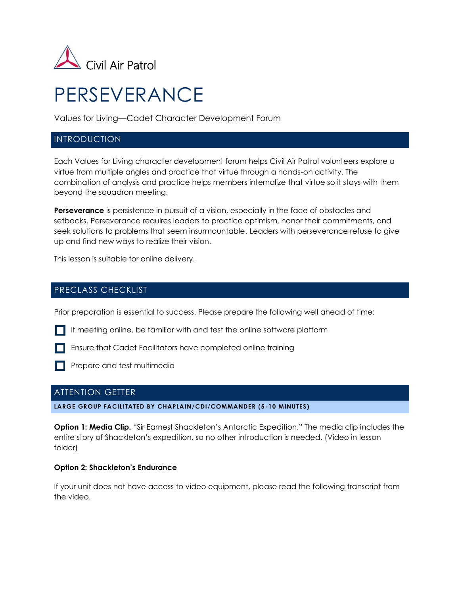

# PERSEVERANCE

Values for Living—Cadet Character Development Forum

## INTRODUCTION

Each Values for Living character development forum helps Civil Air Patrol volunteers explore a virtue from multiple angles and practice that virtue through a hands-on activity. The combination of analysis and practice helps members internalize that virtue so it stays with them beyond the squadron meeting.

**Perseverance** is persistence in pursuit of a vision, especially in the face of obstacles and setbacks. Perseverance requires leaders to practice optimism, honor their commitments, and seek solutions to problems that seem insurmountable. Leaders with perseverance refuse to give up and find new ways to realize their vision.

This lesson is suitable for online delivery.

# PRECLASS CHECKLIST

Prior preparation is essential to success. Please prepare the following well ahead of time:

If meeting online, be familiar with and test the online software platform

**Ensure that Cadet Facilitators have completed online training** 

**Prepare and test multimedia** 

## ATTENTION GETTER

**LARGE GROUP FACILITATED BY CHAPLAIN/CDI/COMMANDER (5 -10 MINUTES)**

**Option 1: Media Clip.** "Sir Earnest Shackleton's Antarctic Expedition." The media clip includes the entire story of Shackleton's expedition, so no other introduction is needed. (Video in lesson folder)

#### **Option 2: Shackleton's Endurance**

If your unit does not have access to video equipment, please read the following transcript from the video.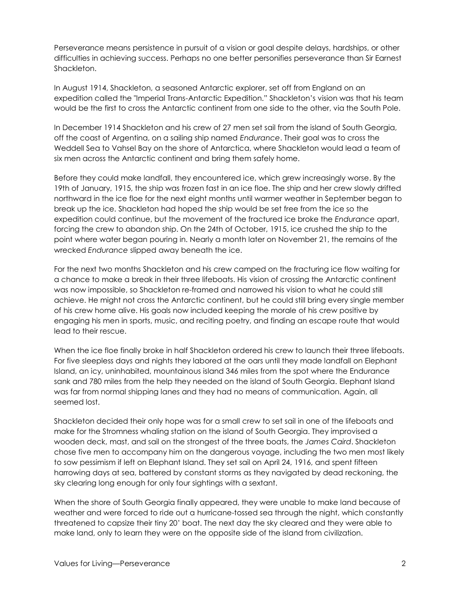Perseverance means persistence in pursuit of a vision or goal despite delays, hardships, or other difficulties in achieving success. Perhaps no one better personifies perseverance than Sir Earnest Shackleton.

In August 1914, Shackleton, a seasoned Antarctic explorer, set off from England on an expedition called the "Imperial Trans-Antarctic Expedition." Shackleton's vision was that his team would be the first to cross the Antarctic continent from one side to the other, via the South Pole.

In December 1914 Shackleton and his crew of 27 men set sail from the island of South Georgia, off the coast of Argentina, on a sailing ship named *Endurance*. Their goal was to cross the Weddell Sea to Vahsel Bay on the shore of Antarctica, where Shackleton would lead a team of six men across the Antarctic continent and bring them safely home.

Before they could make landfall, they encountered ice, which grew increasingly worse. By the 19th of January, 1915, the ship was frozen fast in an ice floe. The ship and her crew slowly drifted northward in the ice floe for the next eight months until warmer weather in September began to break up the ice. Shackleton had hoped the ship would be set free from the ice so the expedition could continue, but the movement of the fractured ice broke the *Endurance* apart, forcing the crew to abandon ship. On the 24th of October, 1915, ice crushed the ship to the point where water began pouring in. Nearly a month later on November 21, the remains of the wrecked *Endurance* slipped away beneath the ice.

For the next two months Shackleton and his crew camped on the fracturing ice flow waiting for a chance to make a break in their three lifeboats. His vision of crossing the Antarctic continent was now impossible, so Shackleton re-framed and narrowed his vision to what he could still achieve. He might not cross the Antarctic continent, but he could still bring every single member of his crew home alive. His goals now included keeping the morale of his crew positive by engaging his men in sports, music, and reciting poetry, and finding an escape route that would lead to their rescue.

When the ice floe finally broke in half Shackleton ordered his crew to launch their three lifeboats. For five sleepless days and nights they labored at the oars until they made landfall on Elephant Island, an icy, uninhabited, mountainous island 346 miles from the spot where the Endurance sank and 780 miles from the help they needed on the island of South Georgia. Elephant Island was far from normal shipping lanes and they had no means of communication. Again, all seemed lost.

Shackleton decided their only hope was for a small crew to set sail in one of the lifeboats and make for the Stromness whaling station on the island of South Georgia. They improvised a wooden deck, mast, and sail on the strongest of the three boats, the *James Caird*. Shackleton chose five men to accompany him on the dangerous voyage, including the two men most likely to sow pessimism if left on Elephant Island. They set sail on April 24, 1916, and spent fifteen harrowing days at sea, battered by constant storms as they navigated by dead reckoning, the sky clearing long enough for only four sightings with a sextant.

When the shore of South Georgia finally appeared, they were unable to make land because of weather and were forced to ride out a hurricane-tossed sea through the night, which constantly threatened to capsize their tiny 20' boat. The next day the sky cleared and they were able to make land, only to learn they were on the opposite side of the island from civilization.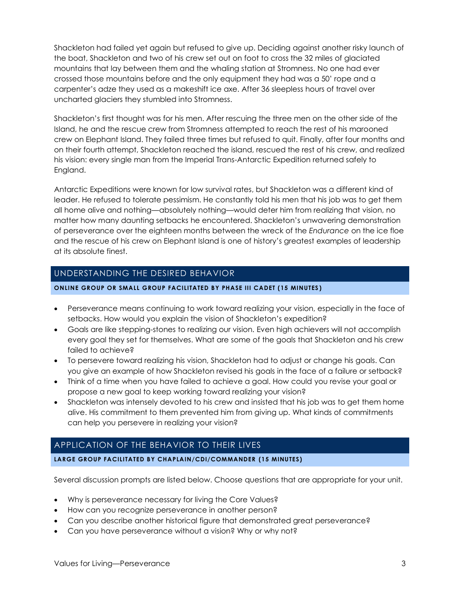Shackleton had failed yet again but refused to give up. Deciding against another risky launch of the boat, Shackleton and two of his crew set out on foot to cross the 32 miles of glaciated mountains that lay between them and the whaling station at Stromness. No one had ever crossed those mountains before and the only equipment they had was a 50' rope and a carpenter's adze they used as a makeshift ice axe. After 36 sleepless hours of travel over uncharted glaciers they stumbled into Stromness.

Shackleton's first thought was for his men. After rescuing the three men on the other side of the Island, he and the rescue crew from Stromness attempted to reach the rest of his marooned crew on Elephant Island. They failed three times but refused to quit. Finally, after four months and on their fourth attempt, Shackleton reached the island, rescued the rest of his crew, and realized his vision: every single man from the Imperial Trans-Antarctic Expedition returned safely to England.

Antarctic Expeditions were known for low survival rates, but Shackleton was a different kind of leader. He refused to tolerate pessimism. He constantly told his men that his job was to get them all home alive and nothing—absolutely nothing—would deter him from realizing that vision, no matter how many daunting setbacks he encountered. Shackleton's unwavering demonstration of perseverance over the eighteen months between the wreck of the *Endurance* on the ice floe and the rescue of his crew on Elephant Island is one of history's greatest examples of leadership at its absolute finest.

# UNDERSTANDING THE DESIRED BEHAVIOR

#### **ONLINE GROUP OR SMALL GROUP FACILITATED BY PHASE III CADET (15 MINUTES )**

- Perseverance means continuing to work toward realizing your vision, especially in the face of setbacks. How would you explain the vision of Shackleton's expedition?
- Goals are like stepping-stones to realizing our vision. Even high achievers will not accomplish every goal they set for themselves. What are some of the goals that Shackleton and his crew failed to achieve?
- To persevere toward realizing his vision, Shackleton had to adjust or change his goals. Can you give an example of how Shackleton revised his goals in the face of a failure or setback?
- Think of a time when you have failed to achieve a goal. How could you revise your goal or propose a new goal to keep working toward realizing your vision?
- Shackleton was intensely devoted to his crew and insisted that his job was to get them home alive. His commitment to them prevented him from giving up. What kinds of commitments can help you persevere in realizing your vision?

# APPLICATION OF THE BEHAVIOR TO THEIR LIVES

#### **LARGE GROUP FACILITATED BY CHAPLAIN/CDI/COMMANDER (15 MINUTES)**

Several discussion prompts are listed below. Choose questions that are appropriate for your unit.

- Why is perseverance necessary for living the Core Values?
- How can you recognize perseverance in another person?
- Can you describe another historical figure that demonstrated great perseverance?
- Can you have perseverance without a vision? Why or why not?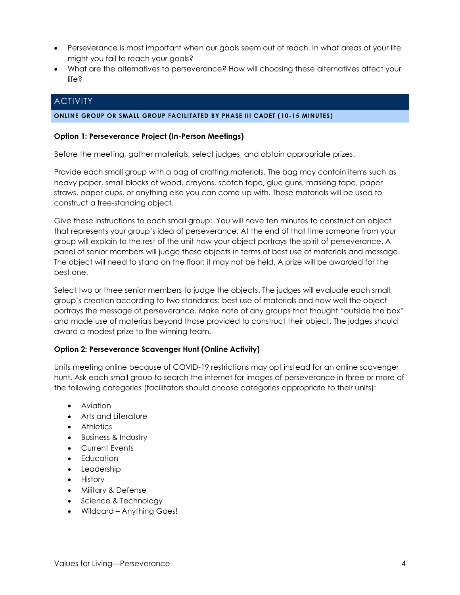- Perseverance is most important when our goals seem out of reach. In what areas of your life might you fail to reach your goals?
- What are the alternatives to perseverance? How will choosing these alternatives affect your life?

# **ACTIVITY**

#### **ONLINE GROUP OR SMALL GROUP FACILITATED BY PHASE III CADET ( 10-15 MINUTES)**

#### **Option 1: Perseverance Project (In-Person Meetings)**

Before the meeting, gather materials, select judges, and obtain appropriate prizes.

Provide each small group with a bag of crafting materials. The bag may contain items such as heavy paper, small blocks of wood, crayons, scotch tape, glue guns, masking tape, paper straws, paper cups, or anything else you can come up with. These materials will be used to construct a free-standing object.

Give these instructions to each small group: You will have ten minutes to construct an object that represents your group's idea of perseverance. At the end of that time someone from your group will explain to the rest of the unit how your object portrays the spirit of perseverance. A panel of senior members will judge these objects in terms of best use of materials and message. The object will need to stand on the floor; it may not be held. A prize will be awarded for the best one.

Select two or three senior members to judge the objects. The judges will evaluate each small group's creation according to two standards: best use of materials and how well the object portrays the message of perseverance. Make note of any groups that thought "outside the box" and made use of materials beyond those provided to construct their object. The judges should award a modest prize to the winning team.

#### **Option 2: Perseverance Scavenger Hunt (Online Activity)**

Units meeting online because of COVID-19 restrictions may opt instead for an online scavenger hunt. Ask each small group to search the internet for images of perseverance in three or more of the following categories (facilitators should choose categories appropriate to their units):

- Aviation
- Arts and Literature
- Athletics
- Business & Industry
- Current Events
- Education
- Leadership
- History
- Military & Defense
- Science & Technology
- Wildcard Anything Goes!